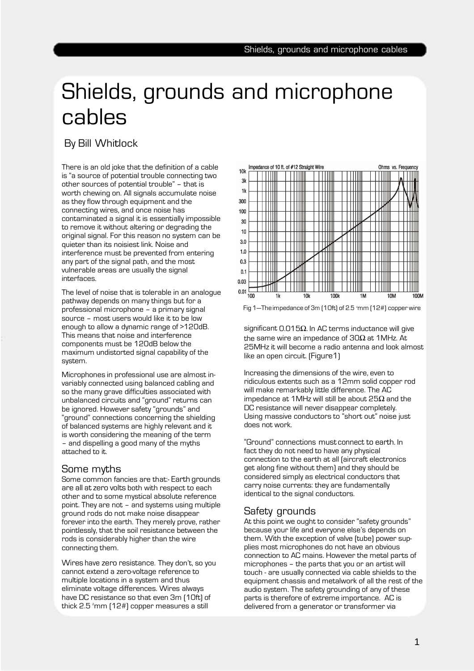# Shields, grounds and microphone cables

# By Bill Whitlock

There is an old joke that the definition of a cable is "a source of potential trouble connecting two other sources of potential trouble" – that is worth chewing on. All signals accumulate noise as they flow through equipment and the connecting wires, and once noise has contaminated a signal it is essentially impossible to remove it without altering or degrading the original signal. For this reason no system can be quieter than its noisiest link. Noise and interference must be prevented from entering any part of the signal path, and the most vulnerable areas are usually the signal interfaces.

The level of noise that is tolerable in an analogue pathway depends on many things but for a professional microphone – a primary signal source – most users would like it to be low enough to allow a dynamic range of >120dB. This means that noise and interference components must be 120dB below the maximum undistorted signal capability of the system.

Microphones in professional use are almost invariably connected using balanced cabling and so the many grave difficulties associated with unbalanced circuits and "ground" returns can be ignored. However safety "grounds" and "ground" connections concerning the shielding of balanced systems are highly relevant and it is worth considering the meaning of the term – and dispelling a good many of the myths attached to it.

#### Some myths

Some common fancies are that:- Earth grounds are all at zero volts both with respect to each other and to some mystical absolute reference point. They are not – and systems using multiple ground rods do not make noise disappear forever into the earth. They merely prove, rather pointlessly, that the soil resistance between the rods is considerably higher than the wire connecting them.

Wires have zero resistance. They don't, so you cannot extend a zero-voltage reference to multiple locations in a system and thus eliminate voltage differences. Wires always have DC resistance so that even 3m (10ft) of thick  $2.5<sup>2</sup>$ mm (12#) copper measures a still



Fig 1—The impedance of 3m [10ft] of 2.5 <sup>e</sup>mm [12#] copper wire

significant 0.015 $\Omega$ . In AC terms inductance will give the same wire an impedance of 30 $\Omega$  at 1MHz. At 25MHz it will become a radio antenna and look almost like an open circuit. (Figure1)

Increasing the dimensions of the wire, even to ridiculous extents such as a 12mm solid copper rod will make remarkably little difference. The AC impedance at 1MHz will still be about 25 $\Omega$  and the DC resistance will never disappear completely. Using massive conductors to "short out" noise just does not work.

"Ground" connections must connect to earth. In fact they do not need to have any physical connection to the earth at all (aircraft electronics get along fine without them) and they should be considered simply as electrical conductors that carry noise currents: they are fundamentally identical to the signal conductors.

## Safety grounds

At this point we ought to consider "safety grounds" because your life and everyone else's depends on them. With the exception of valve (tube) power supplies most microphones do not have an obvious connection to AC mains. However the metal parts of microphones – the parts that you or an artist will touch - are usually connected via cable shields to the equipment chassis and metalwork of all the rest of the audio system. The safety grounding of any of these parts is therefore of extreme importance. AC is delivered from a generator or transformer via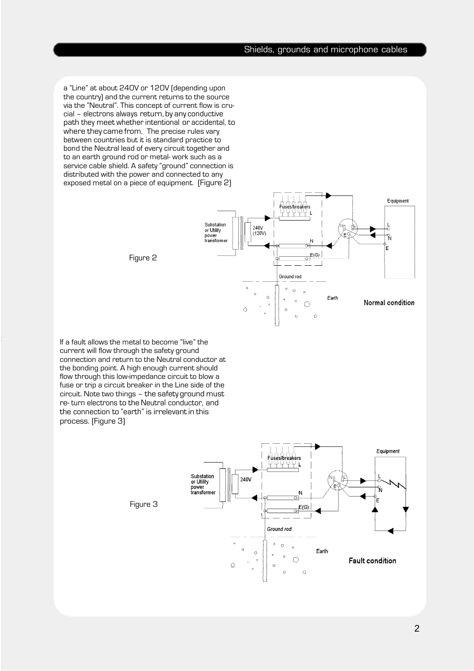#### Shields, grounds and microphone cables

a "Line" at about 240V or 120V (depending upon the country) and the current returns to the source via the "Neutral". This concept of current flow is crucial – electrons always return, by any conductive path they meet whether intentional or accidental, to where they came from. The precise rules vary between countries but it is standard practice to bond the Neutral lead of every circuit together and to an earth ground rod or metal- work such as a service cable shield. A safety "ground" connection is distributed with the power and connected to any exposed metal on a piece of equipment. (Figure 2)



Figure 2

If a fault allows the metal to become "live" the current will flow through the safety ground connection and return to the Neutral conductor at the bonding point. A high enough current should flow through this low-impedance circuit to blow a fuse or trip a circuit breaker in the Line side of the circuit. Note two things – the safety ground must re- turn electrons to the Neutral conductor, and the connection to "earth" is irrelevant in this process. (Figure 3)



Figure 3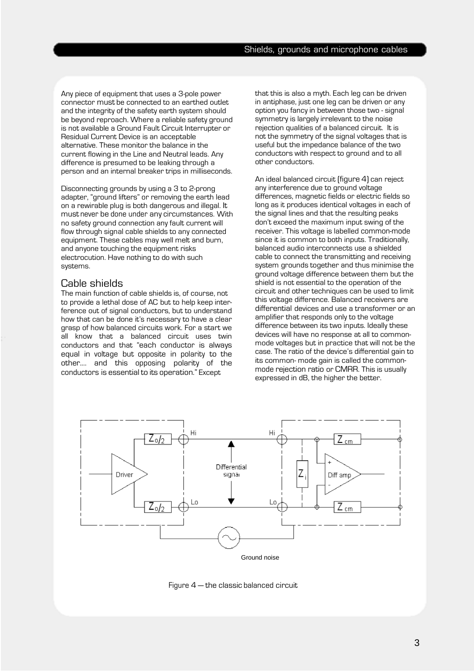Any piece of equipment that uses a 3-pole power connector must be connected to an earthed outlet and the integrity of the safety earth system should be beyond reproach. Where a reliable safety ground is not available a Ground Fault Circuit Interrupter or Residual Current Device is an acceptable alternative. These monitor the balance in the current flowing in the Line and Neutral leads. Any difference is presumed to be leaking through a person and an internal breaker trips in milliseconds.

Disconnecting grounds by using a 3 to 2-prong adapter, "ground lifters" or removing the earth lead on a rewirable plug is both dangerous and illegal. It must never be done under any circumstances. With no safety ground connection any fault current will flow through signal cable shields to any connected equipment. These cables may well melt and burn, and anyone touching the equipment risks electrocution. Have nothing to do with such systems.

#### Cable shields

The main function of cable shields is, of course, not to provide a lethal dose of AC but to help keep interference out of signal conductors, but to understand how that can be done it's necessary to have a clear grasp of how balanced circuits work. For a start we all know that a balanced circuit uses twin conductors and that "each conductor is always equal in voltage but opposite in polarity to the other.… and this opposing polarity of the conductors is essential to its operation." Except

that this is also a myth. Each leg can be driven in antiphase, just one leg can be driven or any option you fancy in between those two - signal symmetry is largely irrelevant to the noise rejection qualities of a balanced circuit. It is not the symmetry of the signal voltages that is useful but the impedance balance of the two conductors with respect to ground and to all other conductors.

An ideal balanced circuit (figure 4) can reject any interference due to ground voltage differences, magnetic fields or electric fields so long as it produces identical voltages in each of the signal lines and that the resulting peaks don't exceed the maximum input swing of the receiver. This voltage is labelled common-mode since it is common to both inputs. Traditionally, balanced audio interconnects use a shielded cable to connect the transmitting and receiving system grounds together and thus minimise the ground voltage difference between them but the shield is not essential to the operation of the circuit and other techniques can be used to limit this voltage difference. Balanced receivers are differential devices and use a transformer or an amplifier that responds only to the voltage difference between its two inputs. Ideally these devices will have no response at all to commonmode voltages but in practice that will not be the case. The ratio of the device's differential gain to its common- mode gain is called the commonmode rejection ratio or CMRR. This is usually expressed in dB, the higher the better.



Figure 4 — the classic balanced circuit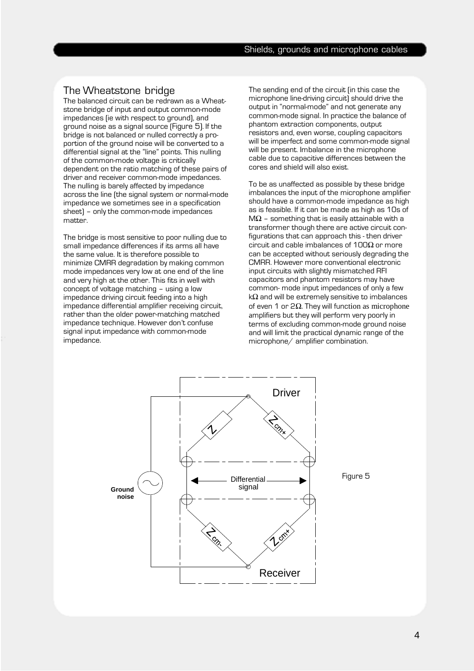### The Wheatstone bridge

The balanced circuit can be redrawn as a Wheatstone bridge of input and output common-mode impedances (ie with respect to ground), and ground noise as a signal source (Figure 5). If the bridge is not balanced or nulled correctly a proportion of the ground noise will be converted to a differential signal at the "line" points. This nulling of the common-mode voltage is critically dependent on the ratio matching of these pairs of driver and receiver common-mode impedances. The nulling is barely affected by impedance across the line (the signal system or normal-mode impedance we sometimes see in a specification sheet) – only the common-mode impedances matter.

The bridge is most sensitive to poor nulling due to small impedance differences if its arms all have the same value. It is therefore possible to minimize CMRR degradation by making common mode impedances very low at one end of the line and very high at the other. This fits in well with concept of voltage matching – using a low impedance driving circuit feeding into a high impedance differential amplifier receiving circuit, rather than the older power-matching matched impedance technique. However don't confuse signal input impedance with common-mode impedance.

The sending end of the circuit (in this case the microphone line-driving circuit) should drive the output in "normal-mode" and not generate any common-mode signal. In practice the balance of phantom extraction components, output resistors and, even worse, coupling capacitors will be imperfect and some common-mode signal will be present. Imbalance in the microphone cable due to capacitive differences between the cores and shield will also exist.

To be as unaffected as possible by these bridge imbalances the input of the microphone amplifier should have a common-mode impedance as high as is feasible. If it can be made as high as 10s of  $M\Omega$  - something that is easily attainable with a transformer though there are active circuit configurations that can approach this - then driver circuit and cable imbalances of  $100\Omega$  or more can be accepted without seriously degrading the CMRR. However more conventional electronic input circuits with slightly mismatched RFI capacitors and phantom resistors may have common- mode input impedances of only a few k $\Omega$  and will be extremely sensitive to imbalances of even 1 or 2 $\Omega$ . They will function as microphone amplifiers but they will perform very poorly in terms of excluding common-mode ground noise and will limit the practical dynamic range of the microphone/ amplifier combination.

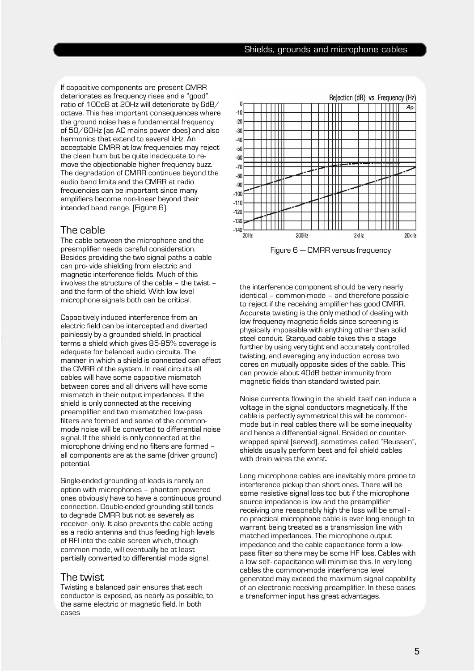If capacitive components are present CMRR deteriorates as frequency rises and a "good" ratio of 100dB at 20Hz will deteriorate by 6dB/ octave. This has important consequences where the ground noise has a fundamental frequency of 50/60Hz (as AC mains power does) and also harmonics that extend to several kHz. An acceptable CMRR at low frequencies may reject the clean hum but be quite inadequate to remove the objectionable higher frequency buzz. The degradation of CMRR continues beyond the audio band limits and the CMRR at radio frequencies can be important since many amplifiers become non-linear beyond their intended band range. (Figure 6)

## The cable

The cable between the microphone and the preamplifier needs careful consideration. Besides providing the two signal paths a cable can pro- vide shielding from electric and magnetic interference fields. Much of this involves the structure of the cable – the twist – and the form of the shield. With low level microphone signals both can be critical.

Capacitively induced interference from an electric field can be intercepted and diverted painlessly by a grounded shield. In practical terms a shield which gives 85-95% coverage is adequate for balanced audio circuits. The manner in which a shield is connected can affect the CMRR of the system. In real circuits all cables will have some capacitive mismatch between cores and all drivers will have some mismatch in their output impedances. If the shield is only connected at the receiving preamplifier end two mismatched low-pass filters are formed and some of the commonmode noise will be converted to differential noise signal. If the shield is only connected at the microphone driving end no filters are formed – all components are at the same (driver ground) potential.

Single-ended grounding of leads is rarely an option with microphones – phantom powered ones obviously have to have a continuous ground connection. Double-ended grounding still tends to degrade CMRR but not as severely as receiver- only. It also prevents the cable acting as a radio antenna and thus feeding high levels of RFI into the cable screen which, though common mode, will eventually be at least partially converted to differential mode signal.

#### The twist

Twisting a balanced pair ensures that each conductor is exposed, as nearly as possible, to the same electric or magnetic field. In both cases



Figure 6 — CMRR versus frequency

the interference component should be very nearly identical – common-mode – and therefore possible to reject if the receiving amplifier has good CMRR. Accurate twisting is the only method of dealing with low frequency magnetic fields since screening is physically impossible with anything other than solid steel conduit. Starquad cable takes this a stage further by using very tight and accurately controlled twisting, and averaging any induction across two cores on mutually opposite sides of the cable. This can provide about 40dB better immunity from magnetic fields than standard twisted pair.

Noise currents flowing in the shield itself can induce a voltage in the signal conductors magnetically. If the cable is perfectly symmetrical this will be commonmode but in real cables there will be some inequality and hence a differential signal. Braided or counterwrapped spiral (served), sometimes called "Reussen", shields usually perform best and foil shield cables with drain wires the worst.

Long microphone cables are inevitably more prone to interference pickup than short ones. There will be some resistive signal loss too but if the microphone source impedance is low and the preamplifier receiving one reasonably high the loss will be small no practical microphone cable is ever long enough to warrant being treated as a transmission line with matched impedances. The microphone output impedance and the cable capacitance form a lowpass filter so there may be some HF loss. Cables with a low self- capacitance will minimise this. In very long cables the common-mode interference level generated may exceed the maximum signal capability of an electronic receiving preamplifier. In these cases a transformer input has great advantages.